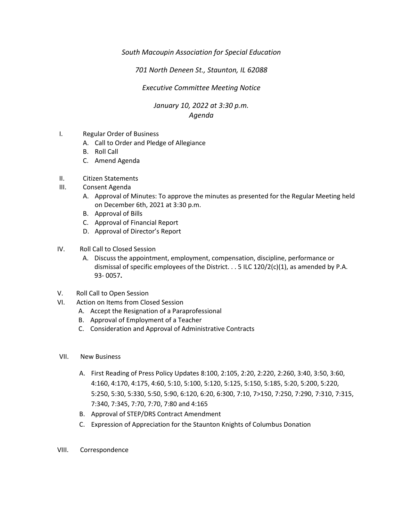### *South Macoupin Association for Special Education*

## *701 North Deneen St., Staunton, IL 62088*

#### *Executive Committee Meeting Notice*

#### *January 10, 2022 at 3:30 p.m. Agenda*

- I. Regular Order of Business
	- A. Call to Order and Pledge of Allegiance
	- B. Roll Call
	- C. Amend Agenda
- II. Citizen Statements
- III. Consent Agenda
	- A. Approval of Minutes: To approve the minutes as presented for the Regular Meeting held on December 6th, 2021 at 3:30 p.m.
	- B. Approval of Bills
	- C. Approval of Financial Report
	- D. Approval of Director's Report
- IV. Roll Call to Closed Session
	- A. Discuss the appointment, employment, compensation, discipline, performance or dismissal of specific employees of the District.  $\ldots$  5 ILC 120/2(c)(1), as amended by P.A. 93- 0057**.**
- V. Roll Call to Open Session
- VI. Action on Items from Closed Session
	- A. Accept the Resignation of a Paraprofessional
	- B. Approval of Employment of a Teacher
	- C. Consideration and Approval of Administrative Contracts
- VII. New Business
	- A. First Reading of Press Policy Updates 8:100, 2:105, 2:20, 2:220, 2:260, 3:40, 3:50, 3:60, 4:160, 4:170, 4:175, 4:60, 5:10, 5:100, 5:120, 5:125, 5:150, 5:185, 5:20, 5:200, 5:220, 5:250, 5:30, 5:330, 5:50, 5:90, 6:120, 6:20, 6:300, 7:10, 7>150, 7:250, 7:290, 7:310, 7:315, 7:340, 7:345, 7:70, 7:70, 7:80 and 4:165
	- B. Approval of STEP/DRS Contract Amendment
	- C. Expression of Appreciation for the Staunton Knights of Columbus Donation
- VIII. Correspondence